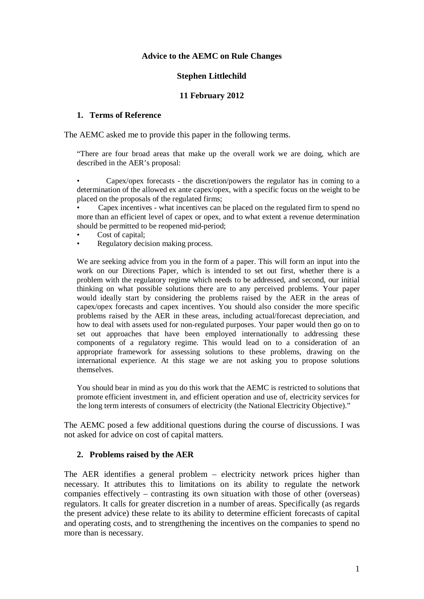#### **Advice to the AEMC on Rule Changes**

#### **Stephen Littlechild**

#### **11 February 2012**

#### **1. Terms of Reference**

The AEMC asked me to provide this paper in the following terms.

"There are four broad areas that make up the overall work we are doing, which are described in the AER's proposal:

• Capex/opex forecasts - the discretion/powers the regulator has in coming to a determination of the allowed ex ante capex/opex, with a specific focus on the weight to be placed on the proposals of the regulated firms;

Capex incentives - what incentives can be placed on the regulated firm to spend no more than an efficient level of capex or opex, and to what extent a revenue determination should be permitted to be reopened mid-period;

- Cost of capital;
- Regulatory decision making process.

We are seeking advice from you in the form of a paper. This will form an input into the work on our Directions Paper, which is intended to set out first, whether there is a problem with the regulatory regime which needs to be addressed, and second, our initial thinking on what possible solutions there are to any perceived problems. Your paper would ideally start by considering the problems raised by the AER in the areas of capex/opex forecasts and capex incentives. You should also consider the more specific problems raised by the AER in these areas, including actual/forecast depreciation, and how to deal with assets used for non-regulated purposes. Your paper would then go on to set out approaches that have been employed internationally to addressing these components of a regulatory regime. This would lead on to a consideration of an appropriate framework for assessing solutions to these problems, drawing on the international experience. At this stage we are not asking you to propose solutions themselves.

You should bear in mind as you do this work that the AEMC is restricted to solutions that promote efficient investment in, and efficient operation and use of, electricity services for the long term interests of consumers of electricity (the National Electricity Objective)."

The AEMC posed a few additional questions during the course of discussions. I was not asked for advice on cost of capital matters.

#### **2. Problems raised by the AER**

The AER identifies a general problem – electricity network prices higher than necessary. It attributes this to limitations on its ability to regulate the network companies effectively – contrasting its own situation with those of other (overseas) regulators. It calls for greater discretion in a number of areas. Specifically (as regards the present advice) these relate to its ability to determine efficient forecasts of capital and operating costs, and to strengthening the incentives on the companies to spend no more than is necessary.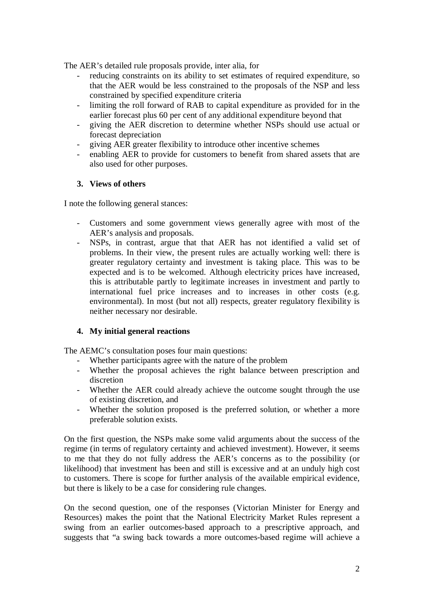The AER's detailed rule proposals provide, inter alia, for

- reducing constraints on its ability to set estimates of required expenditure, so that the AER would be less constrained to the proposals of the NSP and less constrained by specified expenditure criteria
- limiting the roll forward of RAB to capital expenditure as provided for in the earlier forecast plus 60 per cent of any additional expenditure beyond that
- giving the AER discretion to determine whether NSPs should use actual or forecast depreciation
- giving AER greater flexibility to introduce other incentive schemes
- enabling AER to provide for customers to benefit from shared assets that are also used for other purposes.

## **3. Views of others**

I note the following general stances:

- Customers and some government views generally agree with most of the AER's analysis and proposals.
- NSPs, in contrast, argue that that AER has not identified a valid set of problems. In their view, the present rules are actually working well: there is greater regulatory certainty and investment is taking place. This was to be expected and is to be welcomed. Although electricity prices have increased, this is attributable partly to legitimate increases in investment and partly to international fuel price increases and to increases in other costs (e.g. environmental). In most (but not all) respects, greater regulatory flexibility is neither necessary nor desirable.

# **4. My initial general reactions**

The AEMC's consultation poses four main questions:

- Whether participants agree with the nature of the problem
- Whether the proposal achieves the right balance between prescription and discretion
- Whether the AER could already achieve the outcome sought through the use of existing discretion, and
- Whether the solution proposed is the preferred solution, or whether a more preferable solution exists.

On the first question, the NSPs make some valid arguments about the success of the regime (in terms of regulatory certainty and achieved investment). However, it seems to me that they do not fully address the AER's concerns as to the possibility (or likelihood) that investment has been and still is excessive and at an unduly high cost to customers. There is scope for further analysis of the available empirical evidence, but there is likely to be a case for considering rule changes.

On the second question, one of the responses (Victorian Minister for Energy and Resources) makes the point that the National Electricity Market Rules represent a swing from an earlier outcomes-based approach to a prescriptive approach, and suggests that "a swing back towards a more outcomes-based regime will achieve a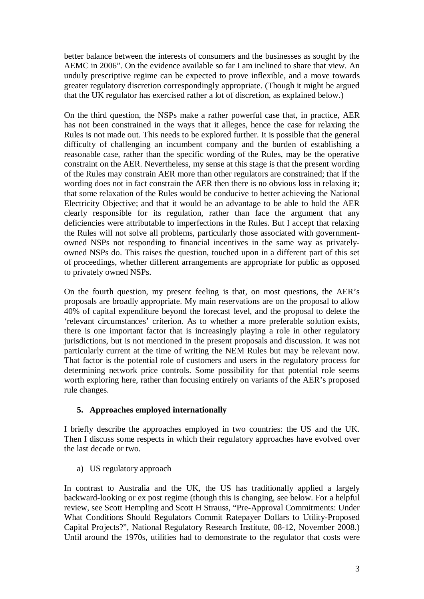better balance between the interests of consumers and the businesses as sought by the AEMC in 2006". On the evidence available so far I am inclined to share that view. An unduly prescriptive regime can be expected to prove inflexible, and a move towards greater regulatory discretion correspondingly appropriate. (Though it might be argued that the UK regulator has exercised rather a lot of discretion, as explained below.)

On the third question, the NSPs make a rather powerful case that, in practice, AER has not been constrained in the ways that it alleges, hence the case for relaxing the Rules is not made out. This needs to be explored further. It is possible that the general difficulty of challenging an incumbent company and the burden of establishing a reasonable case, rather than the specific wording of the Rules, may be the operative constraint on the AER. Nevertheless, my sense at this stage is that the present wording of the Rules may constrain AER more than other regulators are constrained; that if the wording does not in fact constrain the AER then there is no obvious loss in relaxing it; that some relaxation of the Rules would be conducive to better achieving the National Electricity Objective; and that it would be an advantage to be able to hold the AER clearly responsible for its regulation, rather than face the argument that any deficiencies were attributable to imperfections in the Rules. But I accept that relaxing the Rules will not solve all problems, particularly those associated with governmentowned NSPs not responding to financial incentives in the same way as privatelyowned NSPs do. This raises the question, touched upon in a different part of this set of proceedings, whether different arrangements are appropriate for public as opposed to privately owned NSPs.

On the fourth question, my present feeling is that, on most questions, the AER's proposals are broadly appropriate. My main reservations are on the proposal to allow 40% of capital expenditure beyond the forecast level, and the proposal to delete the 'relevant circumstances' criterion. As to whether a more preferable solution exists, there is one important factor that is increasingly playing a role in other regulatory jurisdictions, but is not mentioned in the present proposals and discussion. It was not particularly current at the time of writing the NEM Rules but may be relevant now. That factor is the potential role of customers and users in the regulatory process for determining network price controls. Some possibility for that potential role seems worth exploring here, rather than focusing entirely on variants of the AER's proposed rule changes.

# **5. Approaches employed internationally**

I briefly describe the approaches employed in two countries: the US and the UK. Then I discuss some respects in which their regulatory approaches have evolved over the last decade or two.

a) US regulatory approach

In contrast to Australia and the UK, the US has traditionally applied a largely backward-looking or ex post regime (though this is changing, see below. For a helpful review, see Scott Hempling and Scott H Strauss, "Pre-Approval Commitments: Under What Conditions Should Regulators Commit Ratepayer Dollars to Utility-Proposed Capital Projects?", National Regulatory Research Institute, 08-12, November 2008.) Until around the 1970s, utilities had to demonstrate to the regulator that costs were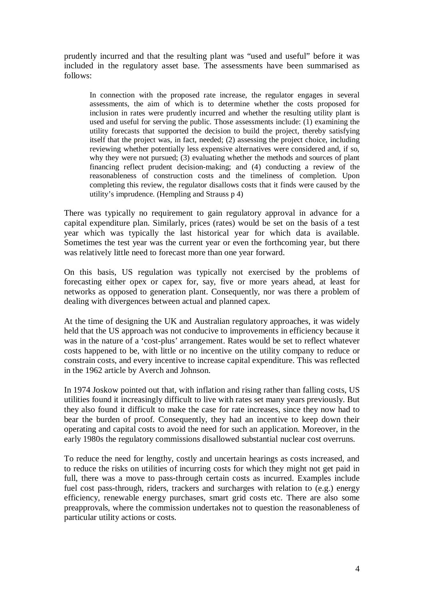prudently incurred and that the resulting plant was "used and useful" before it was included in the regulatory asset base. The assessments have been summarised as follows:

In connection with the proposed rate increase, the regulator engages in several assessments, the aim of which is to determine whether the costs proposed for inclusion in rates were prudently incurred and whether the resulting utility plant is used and useful for serving the public. Those assessments include: (1) examining the utility forecasts that supported the decision to build the project, thereby satisfying itself that the project was, in fact, needed; (2) assessing the project choice, including reviewing whether potentially less expensive alternatives were considered and, if so, why they were not pursued; (3) evaluating whether the methods and sources of plant financing reflect prudent decision-making; and (4) conducting a review of the reasonableness of construction costs and the timeliness of completion. Upon completing this review, the regulator disallows costs that it finds were caused by the utility's imprudence. (Hempling and Strauss p 4)

There was typically no requirement to gain regulatory approval in advance for a capital expenditure plan. Similarly, prices (rates) would be set on the basis of a test year which was typically the last historical year for which data is available. Sometimes the test year was the current year or even the forthcoming year, but there was relatively little need to forecast more than one year forward.

On this basis, US regulation was typically not exercised by the problems of forecasting either opex or capex for, say, five or more years ahead, at least for networks as opposed to generation plant. Consequently, nor was there a problem of dealing with divergences between actual and planned capex.

At the time of designing the UK and Australian regulatory approaches, it was widely held that the US approach was not conducive to improvements in efficiency because it was in the nature of a 'cost-plus' arrangement. Rates would be set to reflect whatever costs happened to be, with little or no incentive on the utility company to reduce or constrain costs, and every incentive to increase capital expenditure. This was reflected in the 1962 article by Averch and Johnson.

In 1974 Joskow pointed out that, with inflation and rising rather than falling costs, US utilities found it increasingly difficult to live with rates set many years previously. But they also found it difficult to make the case for rate increases, since they now had to bear the burden of proof. Consequently, they had an incentive to keep down their operating and capital costs to avoid the need for such an application. Moreover, in the early 1980s the regulatory commissions disallowed substantial nuclear cost overruns.

To reduce the need for lengthy, costly and uncertain hearings as costs increased, and to reduce the risks on utilities of incurring costs for which they might not get paid in full, there was a move to pass-through certain costs as incurred. Examples include fuel cost pass-through, riders, trackers and surcharges with relation to (e.g.) energy efficiency, renewable energy purchases, smart grid costs etc. There are also some preapprovals, where the commission undertakes not to question the reasonableness of particular utility actions or costs.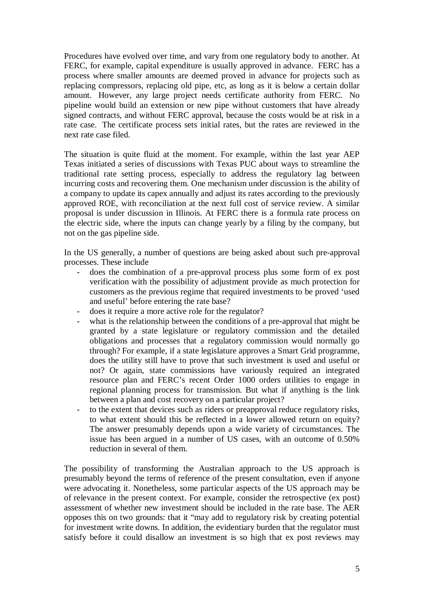Procedures have evolved over time, and vary from one regulatory body to another. At FERC, for example, capital expenditure is usually approved in advance. FERC has a process where smaller amounts are deemed proved in advance for projects such as replacing compressors, replacing old pipe, etc, as long as it is below a certain dollar amount. However, any large project needs certificate authority from FERC. No pipeline would build an extension or new pipe without customers that have already signed contracts, and without FERC approval, because the costs would be at risk in a rate case. The certificate process sets initial rates, but the rates are reviewed in the next rate case filed.

The situation is quite fluid at the moment. For example, within the last year AEP Texas initiated a series of discussions with Texas PUC about ways to streamline the traditional rate setting process, especially to address the regulatory lag between incurring costs and recovering them. One mechanism under discussion is the ability of a company to update its capex annually and adjust its rates according to the previously approved ROE, with reconciliation at the next full cost of service review. A similar proposal is under discussion in Illinois. At FERC there is a formula rate process on the electric side, where the inputs can change yearly by a filing by the company, but not on the gas pipeline side.

In the US generally, a number of questions are being asked about such pre-approval processes. These include

- does the combination of a pre-approval process plus some form of ex post verification with the possibility of adjustment provide as much protection for customers as the previous regime that required investments to be proved 'used and useful' before entering the rate base?
- does it require a more active role for the regulator?
- what is the relationship between the conditions of a pre-approval that might be granted by a state legislature or regulatory commission and the detailed obligations and processes that a regulatory commission would normally go through? For example, if a state legislature approves a Smart Grid programme, does the utility still have to prove that such investment is used and useful or not? Or again, state commissions have variously required an integrated resource plan and FERC's recent Order 1000 orders utilities to engage in regional planning process for transmission. But what if anything is the link between a plan and cost recovery on a particular project?
- to the extent that devices such as riders or preapproval reduce regulatory risks, to what extent should this be reflected in a lower allowed return on equity? The answer presumably depends upon a wide variety of circumstances. The issue has been argued in a number of US cases, with an outcome of 0.50% reduction in several of them.

The possibility of transforming the Australian approach to the US approach is presumably beyond the terms of reference of the present consultation, even if anyone were advocating it. Nonetheless, some particular aspects of the US approach may be of relevance in the present context. For example, consider the retrospective (ex post) assessment of whether new investment should be included in the rate base. The AER opposes this on two grounds: that it "may add to regulatory risk by creating potential for investment write downs. In addition, the evidentiary burden that the regulator must satisfy before it could disallow an investment is so high that ex post reviews may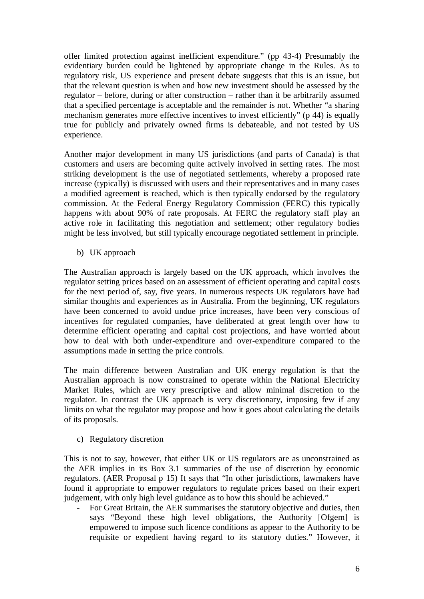offer limited protection against inefficient expenditure." (pp 43-4) Presumably the evidentiary burden could be lightened by appropriate change in the Rules. As to regulatory risk, US experience and present debate suggests that this is an issue, but that the relevant question is when and how new investment should be assessed by the regulator – before, during or after construction – rather than it be arbitrarily assumed that a specified percentage is acceptable and the remainder is not. Whether "a sharing mechanism generates more effective incentives to invest efficiently" (p 44) is equally true for publicly and privately owned firms is debateable, and not tested by US experience.

Another major development in many US jurisdictions (and parts of Canada) is that customers and users are becoming quite actively involved in setting rates. The most striking development is the use of negotiated settlements, whereby a proposed rate increase (typically) is discussed with users and their representatives and in many cases a modified agreement is reached, which is then typically endorsed by the regulatory commission. At the Federal Energy Regulatory Commission (FERC) this typically happens with about 90% of rate proposals. At FERC the regulatory staff play an active role in facilitating this negotiation and settlement; other regulatory bodies might be less involved, but still typically encourage negotiated settlement in principle.

b) UK approach

The Australian approach is largely based on the UK approach, which involves the regulator setting prices based on an assessment of efficient operating and capital costs for the next period of, say, five years. In numerous respects UK regulators have had similar thoughts and experiences as in Australia. From the beginning, UK regulators have been concerned to avoid undue price increases, have been very conscious of incentives for regulated companies, have deliberated at great length over how to determine efficient operating and capital cost projections, and have worried about how to deal with both under-expenditure and over-expenditure compared to the assumptions made in setting the price controls.

The main difference between Australian and UK energy regulation is that the Australian approach is now constrained to operate within the National Electricity Market Rules, which are very prescriptive and allow minimal discretion to the regulator. In contrast the UK approach is very discretionary, imposing few if any limits on what the regulator may propose and how it goes about calculating the details of its proposals.

c) Regulatory discretion

This is not to say, however, that either UK or US regulators are as unconstrained as the AER implies in its Box 3.1 summaries of the use of discretion by economic regulators. (AER Proposal p 15) It says that "In other jurisdictions, lawmakers have found it appropriate to empower regulators to regulate prices based on their expert judgement, with only high level guidance as to how this should be achieved."

- For Great Britain, the AER summarises the statutory objective and duties, then says "Beyond these high level obligations, the Authority [Ofgem] is empowered to impose such licence conditions as appear to the Authority to be requisite or expedient having regard to its statutory duties." However, it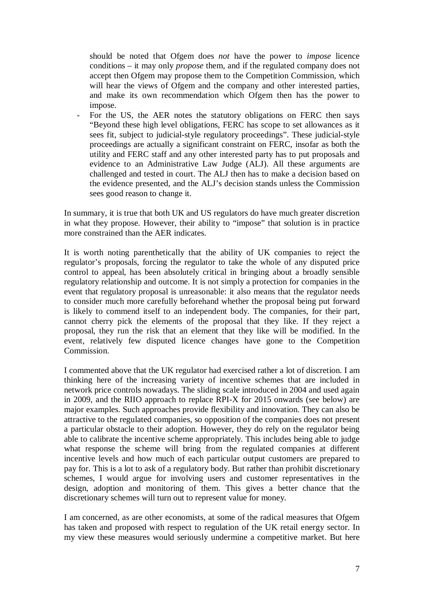should be noted that Ofgem does *not* have the power to *impose* licence conditions – it may only *propose* them, and if the regulated company does not accept then Ofgem may propose them to the Competition Commission, which will hear the views of Ofgem and the company and other interested parties, and make its own recommendation which Ofgem then has the power to impose.

For the US, the AER notes the statutory obligations on FERC then says "Beyond these high level obligations, FERC has scope to set allowances as it sees fit, subject to judicial-style regulatory proceedings". These judicial-style proceedings are actually a significant constraint on FERC, insofar as both the utility and FERC staff and any other interested party has to put proposals and evidence to an Administrative Law Judge (ALJ). All these arguments are challenged and tested in court. The ALJ then has to make a decision based on the evidence presented, and the ALJ's decision stands unless the Commission sees good reason to change it.

In summary, it is true that both UK and US regulators do have much greater discretion in what they propose. However, their ability to "impose" that solution is in practice more constrained than the AER indicates.

It is worth noting parenthetically that the ability of UK companies to reject the regulator's proposals, forcing the regulator to take the whole of any disputed price control to appeal, has been absolutely critical in bringing about a broadly sensible regulatory relationship and outcome. It is not simply a protection for companies in the event that regulatory proposal is unreasonable: it also means that the regulator needs to consider much more carefully beforehand whether the proposal being put forward is likely to commend itself to an independent body. The companies, for their part, cannot cherry pick the elements of the proposal that they like. If they reject a proposal, they run the risk that an element that they like will be modified. In the event, relatively few disputed licence changes have gone to the Competition Commission.

I commented above that the UK regulator had exercised rather a lot of discretion. I am thinking here of the increasing variety of incentive schemes that are included in network price controls nowadays. The sliding scale introduced in 2004 and used again in 2009, and the RIIO approach to replace RPI-X for 2015 onwards (see below) are major examples. Such approaches provide flexibility and innovation. They can also be attractive to the regulated companies, so opposition of the companies does not present a particular obstacle to their adoption. However, they do rely on the regulator being able to calibrate the incentive scheme appropriately. This includes being able to judge what response the scheme will bring from the regulated companies at different incentive levels and how much of each particular output customers are prepared to pay for. This is a lot to ask of a regulatory body. But rather than prohibit discretionary schemes, I would argue for involving users and customer representatives in the design, adoption and monitoring of them. This gives a better chance that the discretionary schemes will turn out to represent value for money.

I am concerned, as are other economists, at some of the radical measures that Ofgem has taken and proposed with respect to regulation of the UK retail energy sector. In my view these measures would seriously undermine a competitive market. But here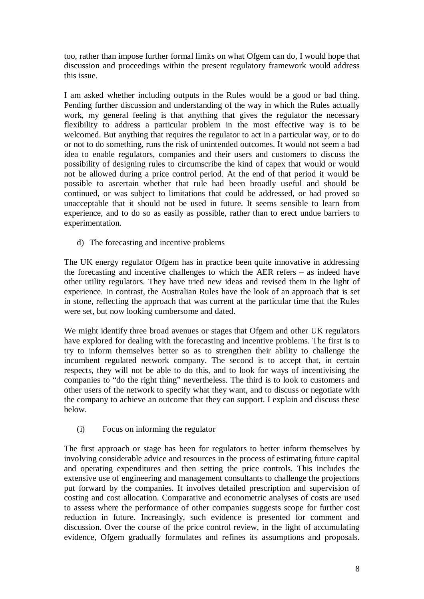too, rather than impose further formal limits on what Ofgem can do, I would hope that discussion and proceedings within the present regulatory framework would address this issue.

I am asked whether including outputs in the Rules would be a good or bad thing. Pending further discussion and understanding of the way in which the Rules actually work, my general feeling is that anything that gives the regulator the necessary flexibility to address a particular problem in the most effective way is to be welcomed. But anything that requires the regulator to act in a particular way, or to do or not to do something, runs the risk of unintended outcomes. It would not seem a bad idea to enable regulators, companies and their users and customers to discuss the possibility of designing rules to circumscribe the kind of capex that would or would not be allowed during a price control period. At the end of that period it would be possible to ascertain whether that rule had been broadly useful and should be continued, or was subject to limitations that could be addressed, or had proved so unacceptable that it should not be used in future. It seems sensible to learn from experience, and to do so as easily as possible, rather than to erect undue barriers to experimentation.

d) The forecasting and incentive problems

The UK energy regulator Ofgem has in practice been quite innovative in addressing the forecasting and incentive challenges to which the AER refers – as indeed have other utility regulators. They have tried new ideas and revised them in the light of experience. In contrast, the Australian Rules have the look of an approach that is set in stone, reflecting the approach that was current at the particular time that the Rules were set, but now looking cumbersome and dated.

We might identify three broad avenues or stages that Ofgem and other UK regulators have explored for dealing with the forecasting and incentive problems. The first is to try to inform themselves better so as to strengthen their ability to challenge the incumbent regulated network company. The second is to accept that, in certain respects, they will not be able to do this, and to look for ways of incentivising the companies to "do the right thing" nevertheless. The third is to look to customers and other users of the network to specify what they want, and to discuss or negotiate with the company to achieve an outcome that they can support. I explain and discuss these below.

(i) Focus on informing the regulator

The first approach or stage has been for regulators to better inform themselves by involving considerable advice and resources in the process of estimating future capital and operating expenditures and then setting the price controls. This includes the extensive use of engineering and management consultants to challenge the projections put forward by the companies. It involves detailed prescription and supervision of costing and cost allocation. Comparative and econometric analyses of costs are used to assess where the performance of other companies suggests scope for further cost reduction in future. Increasingly, such evidence is presented for comment and discussion. Over the course of the price control review, in the light of accumulating evidence, Ofgem gradually formulates and refines its assumptions and proposals.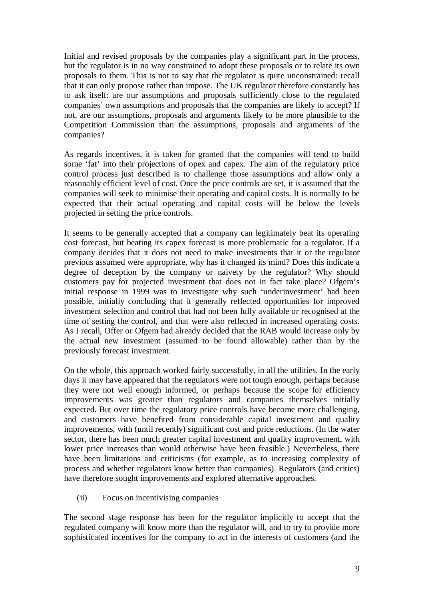Initial and revised proposals by the companies play a significant part in the process, but the regulator is in no way constrained to adopt these proposals or to relate its own proposals to them. This is not to say that the regulator is quite unconstrained: recall that it can only propose rather than impose. The UK regulator therefore constantly has to ask itself: are our assumptions and proposals sufficiently close to the regulated companies' own assumptions and proposals that the companies are likely to accept? If not, are our assumptions, proposals and arguments likely to be more plausible to the Competition Commission than the assumptions, proposals and arguments of the companies?

As regards incentives, it is taken for granted that the companies will tend to build some 'fat' into their projections of opex and capex. The aim of the regulatory price control process just described is to challenge those assumptions and allow only a reasonably efficient level of cost. Once the price controls are set, it is assumed that the companies will seek to minimise their operating and capital costs. It is normally to be expected that their actual operating and capital costs will be below the levels projected in setting the price controls.

It seems to be generally accepted that a company can legitimately beat its operating cost forecast, but beating its capex forecast is more problematic for a regulator. If a company decides that it does not need to make investments that it or the regulator previous assumed were appropriate, why has it changed its mind? Does this indicate a degree of deception by the company or naivety by the regulator? Why should customers pay for projected investment that does not in fact take place? Ofgem's initial response in 1999 was to investigate why such 'underinvestment' had been possible, initially concluding that it generally reflected opportunities for improved investment selection and control that had not been fully available or recognised at the time of setting the control, and that were also reflected in increased operating costs. As I recall, Offer or Ofgem had already decided that the RAB would increase only by the actual new investment (assumed to be found allowable) rather than by the previously forecast investment.

On the whole, this approach worked fairly successfully, in all the utilities. In the early days it may have appeared that the regulators were not tough enough, perhaps because they were not well enough informed, or perhaps because the scope for efficiency improvements was greater than regulators and companies themselves initially expected. But over time the regulatory price controls have become more challenging, and customers have benefited from considerable capital investment and quality improvements, with (until recently) significant cost and price reductions. (In the water sector, there has been much greater capital investment and quality improvement, with lower price increases than would otherwise have been feasible.) Nevertheless, there have been limitations and criticisms (for example, as to increasing complexity of process and whether regulators know better than companies). Regulators (and critics) have therefore sought improvements and explored alternative approaches.

(ii) Focus on incentivising companies

The second stage response has been for the regulator implicitly to accept that the regulated company will know more than the regulator will, and to try to provide more sophisticated incentives for the company to act in the interests of customers (and the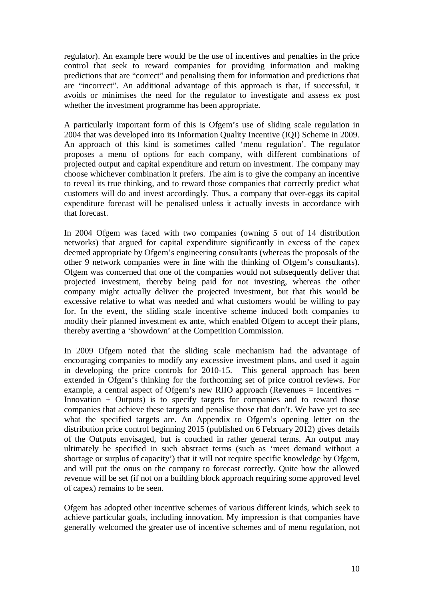regulator). An example here would be the use of incentives and penalties in the price control that seek to reward companies for providing information and making predictions that are "correct" and penalising them for information and predictions that are "incorrect". An additional advantage of this approach is that, if successful, it avoids or minimises the need for the regulator to investigate and assess ex post whether the investment programme has been appropriate.

A particularly important form of this is Ofgem's use of sliding scale regulation in 2004 that was developed into its Information Quality Incentive (IQI) Scheme in 2009. An approach of this kind is sometimes called 'menu regulation'. The regulator proposes a menu of options for each company, with different combinations of projected output and capital expenditure and return on investment. The company may choose whichever combination it prefers. The aim is to give the company an incentive to reveal its true thinking, and to reward those companies that correctly predict what customers will do and invest accordingly. Thus, a company that over-eggs its capital expenditure forecast will be penalised unless it actually invests in accordance with that forecast.

In 2004 Ofgem was faced with two companies (owning 5 out of 14 distribution networks) that argued for capital expenditure significantly in excess of the capex deemed appropriate by Ofgem's engineering consultants (whereas the proposals of the other 9 network companies were in line with the thinking of Ofgem's consultants). Ofgem was concerned that one of the companies would not subsequently deliver that projected investment, thereby being paid for not investing, whereas the other company might actually deliver the projected investment, but that this would be excessive relative to what was needed and what customers would be willing to pay for. In the event, the sliding scale incentive scheme induced both companies to modify their planned investment ex ante, which enabled Ofgem to accept their plans, thereby averting a 'showdown' at the Competition Commission.

In 2009 Ofgem noted that the sliding scale mechanism had the advantage of encouraging companies to modify any excessive investment plans, and used it again in developing the price controls for 2010-15. This general approach has been extended in Ofgem's thinking for the forthcoming set of price control reviews. For example, a central aspect of Ofgem's new RIIO approach (Revenues = Incentives  $+$ Innovation + Outputs) is to specify targets for companies and to reward those companies that achieve these targets and penalise those that don't. We have yet to see what the specified targets are. An Appendix to Ofgem's opening letter on the distribution price control beginning 2015 (published on 6 February 2012) gives details of the Outputs envisaged, but is couched in rather general terms. An output may ultimately be specified in such abstract terms (such as 'meet demand without a shortage or surplus of capacity') that it will not require specific knowledge by Ofgem, and will put the onus on the company to forecast correctly. Quite how the allowed revenue will be set (if not on a building block approach requiring some approved level of capex) remains to be seen.

Ofgem has adopted other incentive schemes of various different kinds, which seek to achieve particular goals, including innovation. My impression is that companies have generally welcomed the greater use of incentive schemes and of menu regulation, not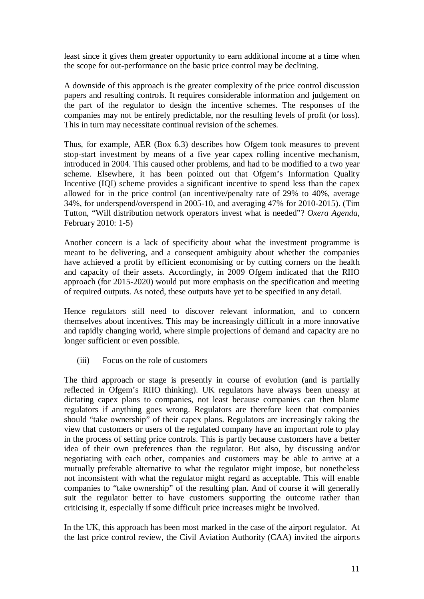least since it gives them greater opportunity to earn additional income at a time when the scope for out-performance on the basic price control may be declining.

A downside of this approach is the greater complexity of the price control discussion papers and resulting controls. It requires considerable information and judgement on the part of the regulator to design the incentive schemes. The responses of the companies may not be entirely predictable, nor the resulting levels of profit (or loss). This in turn may necessitate continual revision of the schemes.

Thus, for example, AER (Box 6.3) describes how Ofgem took measures to prevent stop-start investment by means of a five year capex rolling incentive mechanism, introduced in 2004. This caused other problems, and had to be modified to a two year scheme. Elsewhere, it has been pointed out that Ofgem's Information Quality Incentive (IQI) scheme provides a significant incentive to spend less than the capex allowed for in the price control (an incentive/penalty rate of 29% to 40%, average 34%, for underspend/overspend in 2005-10, and averaging 47% for 2010-2015). (Tim Tutton, "Will distribution network operators invest what is needed"? *Oxera Agenda*, February 2010: 1-5)

Another concern is a lack of specificity about what the investment programme is meant to be delivering, and a consequent ambiguity about whether the companies have achieved a profit by efficient economising or by cutting corners on the health and capacity of their assets. Accordingly, in 2009 Ofgem indicated that the RIIO approach (for 2015-2020) would put more emphasis on the specification and meeting of required outputs. As noted, these outputs have yet to be specified in any detail.

Hence regulators still need to discover relevant information, and to concern themselves about incentives. This may be increasingly difficult in a more innovative and rapidly changing world, where simple projections of demand and capacity are no longer sufficient or even possible.

(iii) Focus on the role of customers

The third approach or stage is presently in course of evolution (and is partially reflected in Ofgem's RIIO thinking). UK regulators have always been uneasy at dictating capex plans to companies, not least because companies can then blame regulators if anything goes wrong. Regulators are therefore keen that companies should "take ownership" of their capex plans. Regulators are increasingly taking the view that customers or users of the regulated company have an important role to play in the process of setting price controls. This is partly because customers have a better idea of their own preferences than the regulator. But also, by discussing and/or negotiating with each other, companies and customers may be able to arrive at a mutually preferable alternative to what the regulator might impose, but nonetheless not inconsistent with what the regulator might regard as acceptable. This will enable companies to "take ownership" of the resulting plan. And of course it will generally suit the regulator better to have customers supporting the outcome rather than criticising it, especially if some difficult price increases might be involved.

In the UK, this approach has been most marked in the case of the airport regulator. At the last price control review, the Civil Aviation Authority (CAA) invited the airports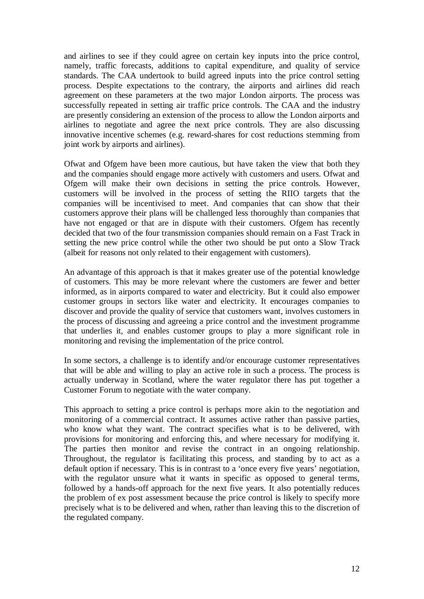and airlines to see if they could agree on certain key inputs into the price control, namely, traffic forecasts, additions to capital expenditure, and quality of service standards. The CAA undertook to build agreed inputs into the price control setting process. Despite expectations to the contrary, the airports and airlines did reach agreement on these parameters at the two major London airports. The process was successfully repeated in setting air traffic price controls. The CAA and the industry are presently considering an extension of the process to allow the London airports and airlines to negotiate and agree the next price controls. They are also discussing innovative incentive schemes (e.g. reward-shares for cost reductions stemming from joint work by airports and airlines).

Ofwat and Ofgem have been more cautious, but have taken the view that both they and the companies should engage more actively with customers and users. Ofwat and Ofgem will make their own decisions in setting the price controls. However, customers will be involved in the process of setting the RIIO targets that the companies will be incentivised to meet. And companies that can show that their customers approve their plans will be challenged less thoroughly than companies that have not engaged or that are in dispute with their customers. Ofgem has recently decided that two of the four transmission companies should remain on a Fast Track in setting the new price control while the other two should be put onto a Slow Track (albeit for reasons not only related to their engagement with customers).

An advantage of this approach is that it makes greater use of the potential knowledge of customers. This may be more relevant where the customers are fewer and better informed, as in airports compared to water and electricity. But it could also empower customer groups in sectors like water and electricity. It encourages companies to discover and provide the quality of service that customers want, involves customers in the process of discussing and agreeing a price control and the investment programme that underlies it, and enables customer groups to play a more significant role in monitoring and revising the implementation of the price control.

In some sectors, a challenge is to identify and/or encourage customer representatives that will be able and willing to play an active role in such a process. The process is actually underway in Scotland, where the water regulator there has put together a Customer Forum to negotiate with the water company.

This approach to setting a price control is perhaps more akin to the negotiation and monitoring of a commercial contract. It assumes active rather than passive parties, who know what they want. The contract specifies what is to be delivered, with provisions for monitoring and enforcing this, and where necessary for modifying it. The parties then monitor and revise the contract in an ongoing relationship. Throughout, the regulator is facilitating this process, and standing by to act as a default option if necessary. This is in contrast to a 'once every five years' negotiation, with the regulator unsure what it wants in specific as opposed to general terms, followed by a hands-off approach for the next five years. It also potentially reduces the problem of ex post assessment because the price control is likely to specify more precisely what is to be delivered and when, rather than leaving this to the discretion of the regulated company.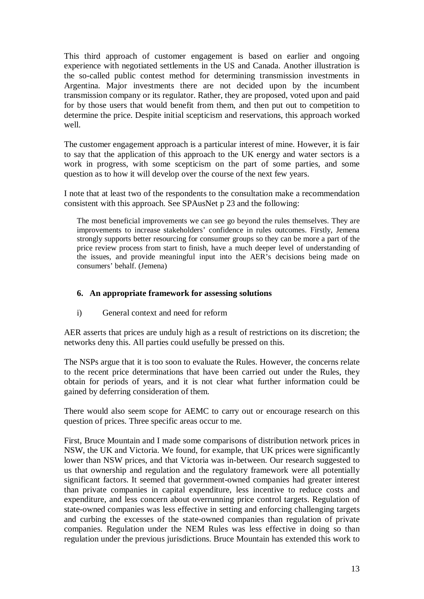This third approach of customer engagement is based on earlier and ongoing experience with negotiated settlements in the US and Canada. Another illustration is the so-called public contest method for determining transmission investments in Argentina. Major investments there are not decided upon by the incumbent transmission company or its regulator. Rather, they are proposed, voted upon and paid for by those users that would benefit from them, and then put out to competition to determine the price. Despite initial scepticism and reservations, this approach worked well.

The customer engagement approach is a particular interest of mine. However, it is fair to say that the application of this approach to the UK energy and water sectors is a work in progress, with some scepticism on the part of some parties, and some question as to how it will develop over the course of the next few years.

I note that at least two of the respondents to the consultation make a recommendation consistent with this approach. See SPAusNet p 23 and the following:

The most beneficial improvements we can see go beyond the rules themselves. They are improvements to increase stakeholders' confidence in rules outcomes. Firstly, Jemena strongly supports better resourcing for consumer groups so they can be more a part of the price review process from start to finish, have a much deeper level of understanding of the issues, and provide meaningful input into the AER's decisions being made on consumers' behalf. (Jemena)

## **6. An appropriate framework for assessing solutions**

i) General context and need for reform

AER asserts that prices are unduly high as a result of restrictions on its discretion; the networks deny this. All parties could usefully be pressed on this.

The NSPs argue that it is too soon to evaluate the Rules. However, the concerns relate to the recent price determinations that have been carried out under the Rules, they obtain for periods of years, and it is not clear what further information could be gained by deferring consideration of them.

There would also seem scope for AEMC to carry out or encourage research on this question of prices. Three specific areas occur to me.

First, Bruce Mountain and I made some comparisons of distribution network prices in NSW, the UK and Victoria. We found, for example, that UK prices were significantly lower than NSW prices, and that Victoria was in-between. Our research suggested to us that ownership and regulation and the regulatory framework were all potentially significant factors. It seemed that government-owned companies had greater interest than private companies in capital expenditure, less incentive to reduce costs and expenditure, and less concern about overrunning price control targets. Regulation of state-owned companies was less effective in setting and enforcing challenging targets and curbing the excesses of the state-owned companies than regulation of private companies. Regulation under the NEM Rules was less effective in doing so than regulation under the previous jurisdictions. Bruce Mountain has extended this work to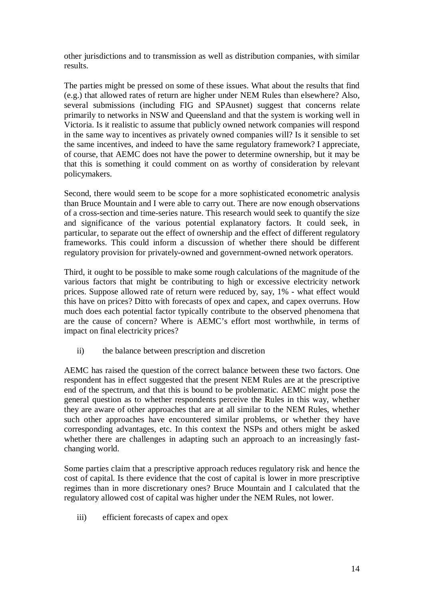other jurisdictions and to transmission as well as distribution companies, with similar results.

The parties might be pressed on some of these issues. What about the results that find (e.g.) that allowed rates of return are higher under NEM Rules than elsewhere? Also, several submissions (including FIG and SPAusnet) suggest that concerns relate primarily to networks in NSW and Queensland and that the system is working well in Victoria. Is it realistic to assume that publicly owned network companies will respond in the same way to incentives as privately owned companies will? Is it sensible to set the same incentives, and indeed to have the same regulatory framework? I appreciate, of course, that AEMC does not have the power to determine ownership, but it may be that this is something it could comment on as worthy of consideration by relevant policymakers.

Second, there would seem to be scope for a more sophisticated econometric analysis than Bruce Mountain and I were able to carry out. There are now enough observations of a cross-section and time-series nature. This research would seek to quantify the size and significance of the various potential explanatory factors. It could seek, in particular, to separate out the effect of ownership and the effect of different regulatory frameworks. This could inform a discussion of whether there should be different regulatory provision for privately-owned and government-owned network operators.

Third, it ought to be possible to make some rough calculations of the magnitude of the various factors that might be contributing to high or excessive electricity network prices. Suppose allowed rate of return were reduced by, say, 1% - what effect would this have on prices? Ditto with forecasts of opex and capex, and capex overruns. How much does each potential factor typically contribute to the observed phenomena that are the cause of concern? Where is AEMC's effort most worthwhile, in terms of impact on final electricity prices?

ii) the balance between prescription and discretion

AEMC has raised the question of the correct balance between these two factors. One respondent has in effect suggested that the present NEM Rules are at the prescriptive end of the spectrum, and that this is bound to be problematic. AEMC might pose the general question as to whether respondents perceive the Rules in this way, whether they are aware of other approaches that are at all similar to the NEM Rules, whether such other approaches have encountered similar problems, or whether they have corresponding advantages, etc. In this context the NSPs and others might be asked whether there are challenges in adapting such an approach to an increasingly fastchanging world.

Some parties claim that a prescriptive approach reduces regulatory risk and hence the cost of capital. Is there evidence that the cost of capital is lower in more prescriptive regimes than in more discretionary ones? Bruce Mountain and I calculated that the regulatory allowed cost of capital was higher under the NEM Rules, not lower.

iii) efficient forecasts of capex and opex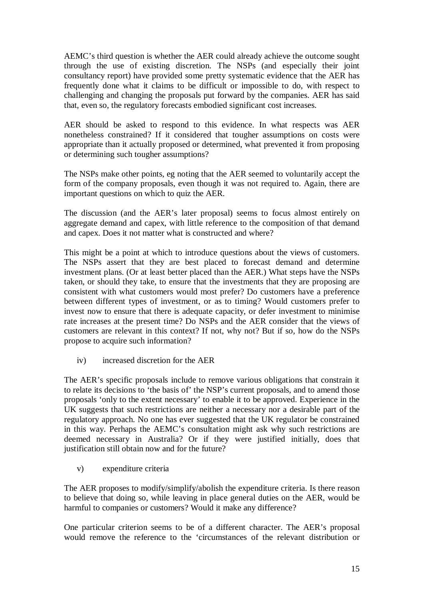AEMC's third question is whether the AER could already achieve the outcome sought through the use of existing discretion. The NSPs (and especially their joint consultancy report) have provided some pretty systematic evidence that the AER has frequently done what it claims to be difficult or impossible to do, with respect to challenging and changing the proposals put forward by the companies. AER has said that, even so, the regulatory forecasts embodied significant cost increases.

AER should be asked to respond to this evidence. In what respects was AER nonetheless constrained? If it considered that tougher assumptions on costs were appropriate than it actually proposed or determined, what prevented it from proposing or determining such tougher assumptions?

The NSPs make other points, eg noting that the AER seemed to voluntarily accept the form of the company proposals, even though it was not required to. Again, there are important questions on which to quiz the AER.

The discussion (and the AER's later proposal) seems to focus almost entirely on aggregate demand and capex, with little reference to the composition of that demand and capex. Does it not matter what is constructed and where?

This might be a point at which to introduce questions about the views of customers. The NSPs assert that they are best placed to forecast demand and determine investment plans. (Or at least better placed than the AER.) What steps have the NSPs taken, or should they take, to ensure that the investments that they are proposing are consistent with what customers would most prefer? Do customers have a preference between different types of investment, or as to timing? Would customers prefer to invest now to ensure that there is adequate capacity, or defer investment to minimise rate increases at the present time? Do NSPs and the AER consider that the views of customers are relevant in this context? If not, why not? But if so, how do the NSPs propose to acquire such information?

iv) increased discretion for the AER

The AER's specific proposals include to remove various obligations that constrain it to relate its decisions to 'the basis of' the NSP's current proposals, and to amend those proposals 'only to the extent necessary' to enable it to be approved. Experience in the UK suggests that such restrictions are neither a necessary nor a desirable part of the regulatory approach. No one has ever suggested that the UK regulator be constrained in this way. Perhaps the AEMC's consultation might ask why such restrictions are deemed necessary in Australia? Or if they were justified initially, does that justification still obtain now and for the future?

v) expenditure criteria

The AER proposes to modify/simplify/abolish the expenditure criteria. Is there reason to believe that doing so, while leaving in place general duties on the AER, would be harmful to companies or customers? Would it make any difference?

One particular criterion seems to be of a different character. The AER's proposal would remove the reference to the 'circumstances of the relevant distribution or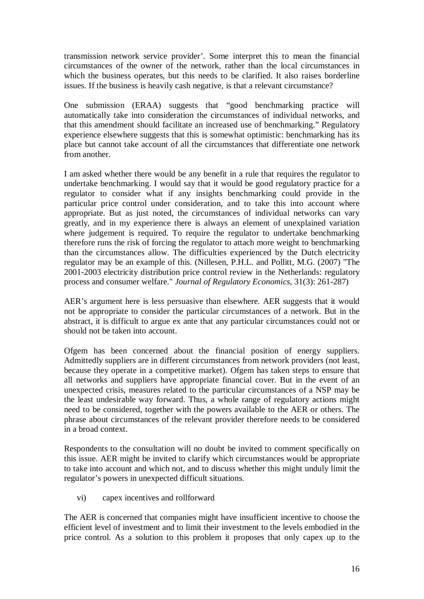transmission network service provider'. Some interpret this to mean the financial circumstances of the owner of the network, rather than the local circumstances in which the business operates, but this needs to be clarified. It also raises borderline issues. If the business is heavily cash negative, is that a relevant circumstance?

One submission (ERAA) suggests that "good benchmarking practice will automatically take into consideration the circumstances of individual networks, and that this amendment should facilitate an increased use of benchmarking." Regulatory experience elsewhere suggests that this is somewhat optimistic: benchmarking has its place but cannot take account of all the circumstances that differentiate one network from another.

I am asked whether there would be any benefit in a rule that requires the regulator to undertake benchmarking. I would say that it would be good regulatory practice for a regulator to consider what if any insights benchmarking could provide in the particular price control under consideration, and to take this into account where appropriate. But as just noted, the circumstances of individual networks can vary greatly, and in my experience there is always an element of unexplained variation where judgement is required. To require the regulator to undertake benchmarking therefore runs the risk of forcing the regulator to attach more weight to benchmarking than the circumstances allow. The difficulties experienced by the Dutch electricity regulator may be an example of this. (Nillesen, P.H.L. and Pollitt, M.G. (2007) "The 2001-2003 electricity distribution price control review in the Netherlands: regulatory process and consumer welfare." *Journal of Regulatory Economics*, 31(3): 261-287)

AER's argument here is less persuasive than elsewhere. AER suggests that it would not be appropriate to consider the particular circumstances of a network. But in the abstract, it is difficult to argue ex ante that any particular circumstances could not or should not be taken into account.

Ofgem has been concerned about the financial position of energy suppliers. Admittedly suppliers are in different circumstances from network providers (not least, because they operate in a competitive market). Ofgem has taken steps to ensure that all networks and suppliers have appropriate financial cover. But in the event of an unexpected crisis, measures related to the particular circumstances of a NSP may be the least undesirable way forward. Thus, a whole range of regulatory actions might need to be considered, together with the powers available to the AER or others. The phrase about circumstances of the relevant provider therefore needs to be considered in a broad context.

Respondents to the consultation will no doubt be invited to comment specifically on this issue. AER might be invited to clarify which circumstances would be appropriate to take into account and which not, and to discuss whether this might unduly limit the regulator's powers in unexpected difficult situations.

vi) capex incentives and rollforward

The AER is concerned that companies might have insufficient incentive to choose the efficient level of investment and to limit their investment to the levels embodied in the price control. As a solution to this problem it proposes that only capex up to the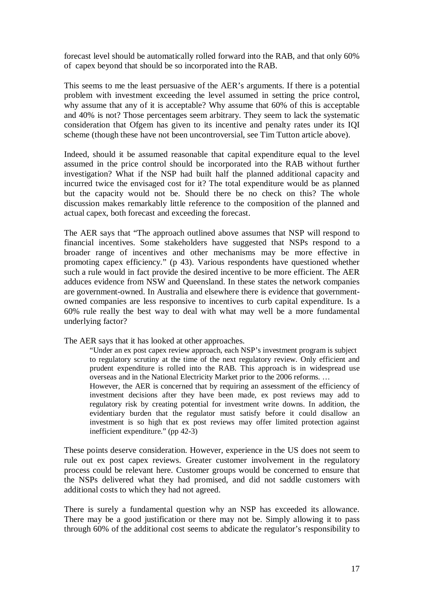forecast level should be automatically rolled forward into the RAB, and that only 60% of capex beyond that should be so incorporated into the RAB.

This seems to me the least persuasive of the AER's arguments. If there is a potential problem with investment exceeding the level assumed in setting the price control, why assume that any of it is acceptable? Why assume that 60% of this is acceptable and 40% is not? Those percentages seem arbitrary. They seem to lack the systematic consideration that Ofgem has given to its incentive and penalty rates under its IQI scheme (though these have not been uncontroversial, see Tim Tutton article above).

Indeed, should it be assumed reasonable that capital expenditure equal to the level assumed in the price control should be incorporated into the RAB without further investigation? What if the NSP had built half the planned additional capacity and incurred twice the envisaged cost for it? The total expenditure would be as planned but the capacity would not be. Should there be no check on this? The whole discussion makes remarkably little reference to the composition of the planned and actual capex, both forecast and exceeding the forecast.

The AER says that "The approach outlined above assumes that NSP will respond to financial incentives. Some stakeholders have suggested that NSPs respond to a broader range of incentives and other mechanisms may be more effective in promoting capex efficiency." (p 43). Various respondents have questioned whether such a rule would in fact provide the desired incentive to be more efficient. The AER adduces evidence from NSW and Queensland. In these states the network companies are government-owned. In Australia and elsewhere there is evidence that governmentowned companies are less responsive to incentives to curb capital expenditure. Is a 60% rule really the best way to deal with what may well be a more fundamental underlying factor?

The AER says that it has looked at other approaches.

"Under an ex post capex review approach, each NSP's investment program is subject to regulatory scrutiny at the time of the next regulatory review. Only efficient and prudent expenditure is rolled into the RAB. This approach is in widespread use overseas and in the National Electricity Market prior to the 2006 reforms. …

However, the AER is concerned that by requiring an assessment of the efficiency of investment decisions after they have been made, ex post reviews may add to regulatory risk by creating potential for investment write downs. In addition, the evidentiary burden that the regulator must satisfy before it could disallow an investment is so high that ex post reviews may offer limited protection against inefficient expenditure." (pp 42-3)

These points deserve consideration. However, experience in the US does not seem to rule out ex post capex reviews. Greater customer involvement in the regulatory process could be relevant here. Customer groups would be concerned to ensure that the NSPs delivered what they had promised, and did not saddle customers with additional costs to which they had not agreed.

There is surely a fundamental question why an NSP has exceeded its allowance. There may be a good justification or there may not be. Simply allowing it to pass through 60% of the additional cost seems to abdicate the regulator's responsibility to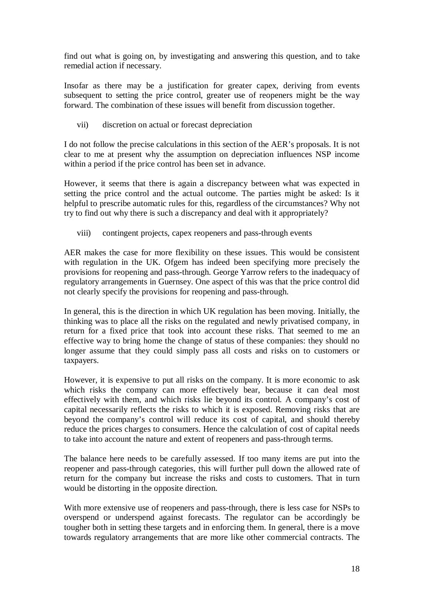find out what is going on, by investigating and answering this question, and to take remedial action if necessary.

Insofar as there may be a justification for greater capex, deriving from events subsequent to setting the price control, greater use of reopeners might be the way forward. The combination of these issues will benefit from discussion together.

vii) discretion on actual or forecast depreciation

I do not follow the precise calculations in this section of the AER's proposals. It is not clear to me at present why the assumption on depreciation influences NSP income within a period if the price control has been set in advance.

However, it seems that there is again a discrepancy between what was expected in setting the price control and the actual outcome. The parties might be asked: Is it helpful to prescribe automatic rules for this, regardless of the circumstances? Why not try to find out why there is such a discrepancy and deal with it appropriately?

viii) contingent projects, capex reopeners and pass-through events

AER makes the case for more flexibility on these issues. This would be consistent with regulation in the UK. Ofgem has indeed been specifying more precisely the provisions for reopening and pass-through. George Yarrow refers to the inadequacy of regulatory arrangements in Guernsey. One aspect of this was that the price control did not clearly specify the provisions for reopening and pass-through.

In general, this is the direction in which UK regulation has been moving. Initially, the thinking was to place all the risks on the regulated and newly privatised company, in return for a fixed price that took into account these risks. That seemed to me an effective way to bring home the change of status of these companies: they should no longer assume that they could simply pass all costs and risks on to customers or taxpayers.

However, it is expensive to put all risks on the company. It is more economic to ask which risks the company can more effectively bear, because it can deal most effectively with them, and which risks lie beyond its control. A company's cost of capital necessarily reflects the risks to which it is exposed. Removing risks that are beyond the company's control will reduce its cost of capital, and should thereby reduce the prices charges to consumers. Hence the calculation of cost of capital needs to take into account the nature and extent of reopeners and pass-through terms.

The balance here needs to be carefully assessed. If too many items are put into the reopener and pass-through categories, this will further pull down the allowed rate of return for the company but increase the risks and costs to customers. That in turn would be distorting in the opposite direction.

With more extensive use of reopeners and pass-through, there is less case for NSPs to overspend or underspend against forecasts. The regulator can be accordingly be tougher both in setting these targets and in enforcing them. In general, there is a move towards regulatory arrangements that are more like other commercial contracts. The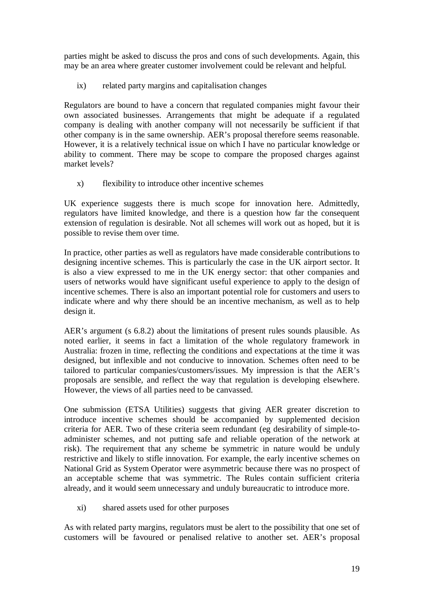parties might be asked to discuss the pros and cons of such developments. Again, this may be an area where greater customer involvement could be relevant and helpful.

ix) related party margins and capitalisation changes

Regulators are bound to have a concern that regulated companies might favour their own associated businesses. Arrangements that might be adequate if a regulated company is dealing with another company will not necessarily be sufficient if that other company is in the same ownership. AER's proposal therefore seems reasonable. However, it is a relatively technical issue on which I have no particular knowledge or ability to comment. There may be scope to compare the proposed charges against market levels?

x) flexibility to introduce other incentive schemes

UK experience suggests there is much scope for innovation here. Admittedly, regulators have limited knowledge, and there is a question how far the consequent extension of regulation is desirable. Not all schemes will work out as hoped, but it is possible to revise them over time.

In practice, other parties as well as regulators have made considerable contributions to designing incentive schemes. This is particularly the case in the UK airport sector. It is also a view expressed to me in the UK energy sector: that other companies and users of networks would have significant useful experience to apply to the design of incentive schemes. There is also an important potential role for customers and users to indicate where and why there should be an incentive mechanism, as well as to help design it.

AER's argument (s 6.8.2) about the limitations of present rules sounds plausible. As noted earlier, it seems in fact a limitation of the whole regulatory framework in Australia: frozen in time, reflecting the conditions and expectations at the time it was designed, but inflexible and not conducive to innovation. Schemes often need to be tailored to particular companies/customers/issues. My impression is that the AER's proposals are sensible, and reflect the way that regulation is developing elsewhere. However, the views of all parties need to be canvassed.

One submission (ETSA Utilities) suggests that giving AER greater discretion to introduce incentive schemes should be accompanied by supplemented decision criteria for AER. Two of these criteria seem redundant (eg desirability of simple-toadminister schemes, and not putting safe and reliable operation of the network at risk). The requirement that any scheme be symmetric in nature would be unduly restrictive and likely to stifle innovation. For example, the early incentive schemes on National Grid as System Operator were asymmetric because there was no prospect of an acceptable scheme that was symmetric. The Rules contain sufficient criteria already, and it would seem unnecessary and unduly bureaucratic to introduce more.

xi) shared assets used for other purposes

As with related party margins, regulators must be alert to the possibility that one set of customers will be favoured or penalised relative to another set. AER's proposal